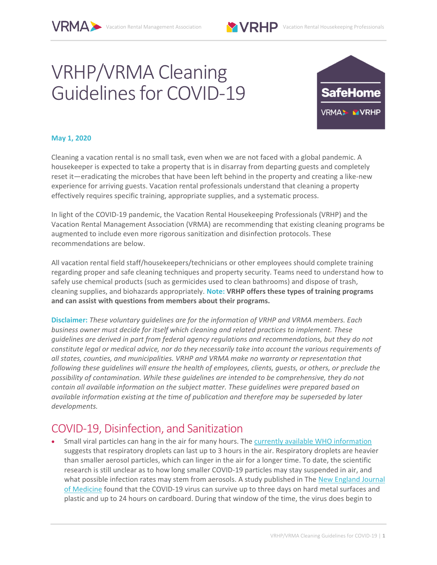# VRHP/VRMA Cleaning Guidelines for COVID-19



#### **May 1, 2020**

Cleaning a vacation rental is no small task, even when we are not faced with a global pandemic. A housekeeper is expected to take a property that is in disarray from departing guests and completely reset it—eradicating the microbes that have been left behind in the property and creating a like-new experience for arriving guests. Vacation rental professionals understand that cleaning a property effectively requires specific training, appropriate supplies, and a systematic process.

In light of the COVID-19 pandemic, the Vacation Rental Housekeeping Professionals (VRHP) and the Vacation Rental Management Association (VRMA) are recommending that existing cleaning programs be augmented to include even more rigorous sanitization and disinfection protocols. These recommendations are below.

All vacation rental field staff/housekeepers/technicians or other employees should complete training regarding proper and safe cleaning techniques and property security. Teams need to understand how to safely use chemical products (such as germicides used to clean bathrooms) and dispose of trash, cleaning supplies, and biohazards appropriately. **Note: VRHP offers these types of training programs and can assist with questions from members about their programs.**

**Disclaimer:** *These voluntary guidelines are for the information of VRHP and VRMA members. Each business owner must decide for itself which cleaning and related practices to implement. These guidelines are derived in part from federal agency regulations and recommendations, but they do not constitute legal or medical advice, nor do they necessarily take into account the various requirements of all states, counties, and municipalities. VRHP and VRMA make no warranty or representation that following these guidelines will ensure the health of employees, clients, guests, or others, or preclude the possibility of contamination. While these guidelines are intended to be comprehensive, they do not contain all available information on the subject matter. These guidelines were prepared based on available information existing at the time of publication and therefore may be superseded by later developments.*

#### COVID-19, Disinfection, and Sanitization

 Small viral particles can hang in the air for many hours. The [currently available WHO information](https://www.who.int/news-room/commentaries/detail/modes-of-transmission-of-virus-causing-covid-19-implications-for-ipc-precaution-recommendations) suggests that respiratory droplets can last up to 3 hours in the air. Respiratory droplets are heavier than smaller aerosol particles, which can linger in the air for a longer time. To date, the scientific research is still unclear as to how long smaller COVID-19 particles may stay suspended in air, and what possible infection rates may stem from aerosols. A study published in The New England Journal [of Medicine](https://www.nejm.org/doi/full/10.1056/NEJMc2004973) found that the COVID-19 virus can survive up to three days on hard metal surfaces and plastic and up to 24 hours on cardboard. During that window of the time, the virus does begin to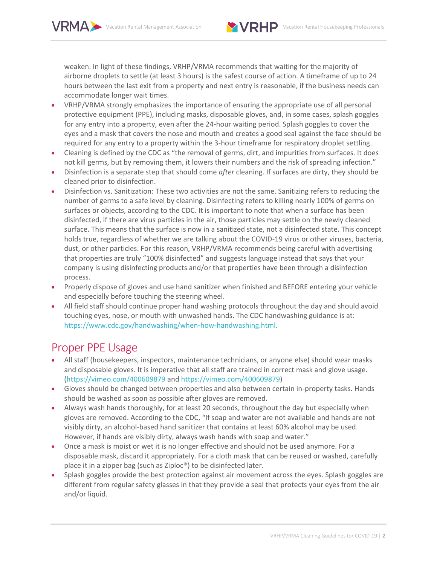

weaken. In light of these findings, VRHP/VRMA recommends that waiting for the majority of airborne droplets to settle (at least 3 hours) is the safest course of action. A timeframe of up to 24 hours between the last exit from a property and next entry is reasonable, if the business needs can accommodate longer wait times.

- VRHP/VRMA strongly emphasizes the importance of ensuring the appropriate use of all personal protective equipment (PPE), including masks, disposable gloves, and, in some cases, splash goggles for any entry into a property, even after the 24-hour waiting period. Splash goggles to cover the eyes and a mask that covers the nose and mouth and creates a good seal against the face should be required for any entry to a property within the 3-hour timeframe for respiratory droplet settling.
- Cleaning is defined by the CDC as "the removal of germs, dirt, and impurities from surfaces. It does not kill germs, but by removing them, it lowers their numbers and the risk of spreading infection."
- Disinfection is a separate step that should come *after* cleaning. If surfaces are dirty, they should be cleaned prior to disinfection.
- Disinfection vs. Sanitization: These two activities are not the same. Sanitizing refers to reducing the number of germs to a safe level by cleaning. Disinfecting refers to killing nearly 100% of germs on surfaces or objects, according to the CDC. It is important to note that when a surface has been disinfected, if there are virus particles in the air, those particles may settle on the newly cleaned surface. This means that the surface is now in a sanitized state, not a disinfected state. This concept holds true, regardless of whether we are talking about the COVID-19 virus or other viruses, bacteria, dust, or other particles. For this reason, VRHP/VRMA recommends being careful with advertising that properties are truly "100% disinfected" and suggests language instead that says that your company is using disinfecting products and/or that properties have been through a disinfection process.
- Properly dispose of gloves and use hand sanitizer when finished and BEFORE entering your vehicle and especially before touching the steering wheel.
- All field staff should continue proper hand washing protocols throughout the day and should avoid touching eyes, nose, or mouth with unwashed hands. The CDC handwashing guidance is at: [https://www.cdc.gov/handwashing/when-how-handwashing.html.](https://www.cdc.gov/handwashing/when-how-handwashing.html)

#### Proper PPE Usage

- All staff (housekeepers, inspectors, maintenance technicians, or anyone else) should wear masks and disposable gloves. It is imperative that all staff are trained in correct mask and glove usage. [\(https://vimeo.com/400609879](https://vimeo.com/400609879) and [https://vimeo.com/400609879\)](https://vimeo.com/400609879)
- Gloves should be changed between properties and also between certain in-property tasks. Hands should be washed as soon as possible after gloves are removed.
- Always wash hands thoroughly, for at least 20 seconds, throughout the day but especially when gloves are removed. According to the CDC, "If soap and water are not available and hands are not visibly dirty, an alcohol-based hand sanitizer that contains at least 60% alcohol may be used. However, if hands are visibly dirty, always wash hands with soap and water."
- Once a mask is moist or wet it is no longer effective and should not be used anymore. For a disposable mask, discard it appropriately. For a cloth mask that can be reused or washed, carefully place it in a zipper bag (such as Ziploc®) to be disinfected later.
- Splash goggles provide the best protection against air movement across the eyes. Splash goggles are different from regular safety glasses in that they provide a seal that protects your eyes from the air and/or liquid.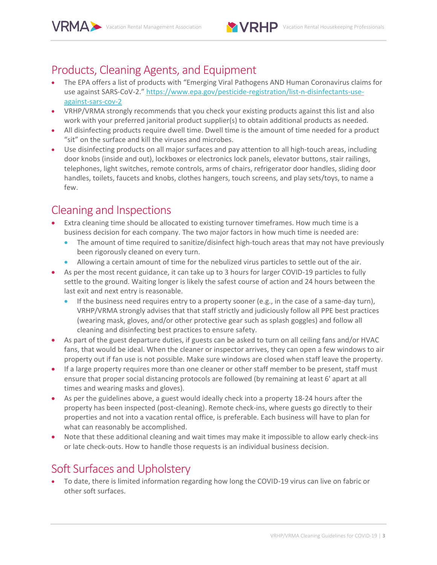

### Products, Cleaning Agents, and Equipment

- The EPA offers a list of products with "Emerging Viral Pathogens AND Human Coronavirus claims for use against SARS-CoV-2." [https://www.epa.gov/pesticide-registration/list-n-disinfectants-use](https://www.epa.gov/pesticide-registration/list-n-disinfectants-use-against-sars-cov-2)[against-sars-cov-2](https://www.epa.gov/pesticide-registration/list-n-disinfectants-use-against-sars-cov-2)
- VRHP/VRMA strongly recommends that you check your existing products against this list and also work with your preferred janitorial product supplier(s) to obtain additional products as needed.
- All disinfecting products require dwell time. Dwell time is the amount of time needed for a product "sit" on the surface and kill the viruses and microbes.
- Use disinfecting products on all major surfaces and pay attention to all high-touch areas, including door knobs (inside and out), lockboxes or electronics lock panels, elevator buttons, stair railings, telephones, light switches, remote controls, arms of chairs, refrigerator door handles, sliding door handles, toilets, faucets and knobs, clothes hangers, touch screens, and play sets/toys, to name a few.

# Cleaning and Inspections

- Extra cleaning time should be allocated to existing turnover timeframes. How much time is a business decision for each company. The two major factors in how much time is needed are:
	- The amount of time required to sanitize/disinfect high-touch areas that may not have previously been rigorously cleaned on every turn.
	- Allowing a certain amount of time for the nebulized virus particles to settle out of the air.
- As per the most recent guidance, it can take up to 3 hours for larger COVID-19 particles to fully settle to the ground. Waiting longer is likely the safest course of action and 24 hours between the last exit and next entry is reasonable.
	- If the business need requires entry to a property sooner (e.g., in the case of a same-day turn), VRHP/VRMA strongly advises that that staff strictly and judiciously follow all PPE best practices (wearing mask, gloves, and/or other protective gear such as splash goggles) and follow all cleaning and disinfecting best practices to ensure safety.
- As part of the guest departure duties, if guests can be asked to turn on all ceiling fans and/or HVAC fans, that would be ideal. When the cleaner or inspector arrives, they can open a few windows to air property out if fan use is not possible. Make sure windows are closed when staff leave the property.
- If a large property requires more than one cleaner or other staff member to be present, staff must ensure that proper social distancing protocols are followed (by remaining at least 6' apart at all times and wearing masks and gloves).
- As per the guidelines above, a guest would ideally check into a property 18-24 hours after the property has been inspected (post-cleaning). Remote check-ins, where guests go directly to their properties and not into a vacation rental office, is preferable. Each business will have to plan for what can reasonably be accomplished.
- Note that these additional cleaning and wait times may make it impossible to allow early check-ins or late check-outs. How to handle those requests is an individual business decision.

# Soft Surfaces and Upholstery

 To date, there is limited information regarding how long the COVID-19 virus can live on fabric or other soft surfaces.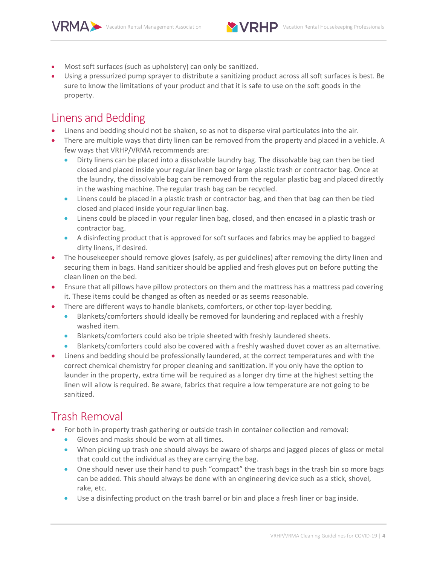

- Most soft surfaces (such as upholstery) can only be sanitized.
- Using a pressurized pump sprayer to distribute a sanitizing product across all soft surfaces is best. Be sure to know the limitations of your product and that it is safe to use on the soft goods in the property.

#### Linens and Bedding

- Linens and bedding should not be shaken, so as not to disperse viral particulates into the air.
- There are multiple ways that dirty linen can be removed from the property and placed in a vehicle. A few ways that VRHP/VRMA recommends are:
	- Dirty linens can be placed into a dissolvable laundry bag. The dissolvable bag can then be tied closed and placed inside your regular linen bag or large plastic trash or contractor bag. Once at the laundry, the dissolvable bag can be removed from the regular plastic bag and placed directly in the washing machine. The regular trash bag can be recycled.
	- Linens could be placed in a plastic trash or contractor bag, and then that bag can then be tied closed and placed inside your regular linen bag.
	- Linens could be placed in your regular linen bag, closed, and then encased in a plastic trash or contractor bag.
	- A disinfecting product that is approved for soft surfaces and fabrics may be applied to bagged dirty linens, if desired.
- The housekeeper should remove gloves (safely, as per guidelines) after removing the dirty linen and securing them in bags. Hand sanitizer should be applied and fresh gloves put on before putting the clean linen on the bed.
- Ensure that all pillows have pillow protectors on them and the mattress has a mattress pad covering it. These items could be changed as often as needed or as seems reasonable.
- There are different ways to handle blankets, comforters, or other top-layer bedding.
	- Blankets/comforters should ideally be removed for laundering and replaced with a freshly washed item.
	- Blankets/comforters could also be triple sheeted with freshly laundered sheets.
	- Blankets/comforters could also be covered with a freshly washed duvet cover as an alternative.
- Linens and bedding should be professionally laundered, at the correct temperatures and with the correct chemical chemistry for proper cleaning and sanitization. If you only have the option to launder in the property, extra time will be required as a longer dry time at the highest setting the linen will allow is required. Be aware, fabrics that require a low temperature are not going to be sanitized.

# Trash Removal

- For both in-property trash gathering or outside trash in container collection and removal:
	- Gloves and masks should be worn at all times.
	- When picking up trash one should always be aware of sharps and jagged pieces of glass or metal that could cut the individual as they are carrying the bag.
	- One should never use their hand to push "compact" the trash bags in the trash bin so more bags can be added. This should always be done with an engineering device such as a stick, shovel, rake, etc.
	- Use a disinfecting product on the trash barrel or bin and place a fresh liner or bag inside.